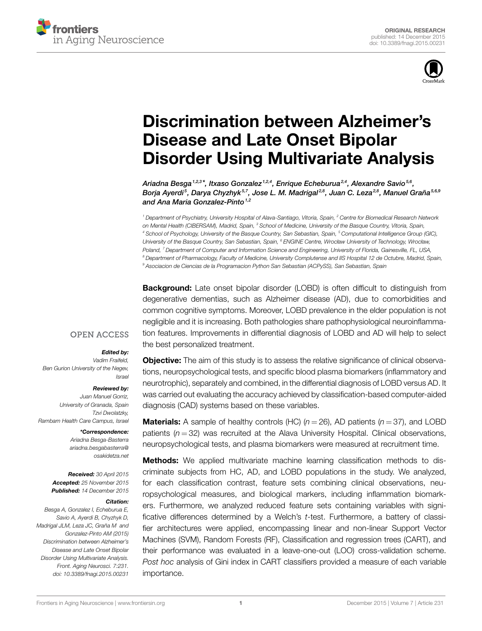



# **[Discrimination between Alzheimer's](http://www.frontiersin.org/Journal/10.3389/fnagi.2015.00231/abstract) [Disease and Late Onset Bipolar](http://www.frontiersin.org/Journal/10.3389/fnagi.2015.00231/abstract) [Disorder Using Multivariate Analysis](http://www.frontiersin.org/Journal/10.3389/fnagi.2015.00231/abstract)**

*[Ariadna](http://loop.frontiersin.org/people/232803/overview) Besga1,2,3 \*, Itxaso Gonzalez 1,2,4, Enrique Echeburua2,4, [Alexandre Savio](http://loop.frontiersin.org/people/298762/overview)5,6 , Borja Ayerdi <sup>5</sup> , [Darya Chyzhyk](http://loop.frontiersin.org/people/233843/overview) 5,7, Jose L. M. Madrigal 2,8, [Juan C. Leza](http://loop.frontiersin.org/people/295387/overview)2,8, [Manuel Graña](http://loop.frontiersin.org/people/117281/overview)5,6,9 and Ana Maria Gonzalez-Pinto1,2*

*<sup>1</sup> Department of Psychiatry, University Hospital of Alava-Santiago, Vitoria, Spain, <sup>2</sup> Centre for Biomedical Research Network on Mental Health (CIBERSAM), Madrid, Spain, <sup>3</sup> School of Medicine, University of the Basque Country, Vitoria, Spain, <sup>4</sup> School of Psychology, University of the Basque Country, San Sebastian, Spain, <sup>5</sup> Computational Intelligence Group (GIC), University of the Basque Country, San Sebastian, Spain, <sup>6</sup> ENGINE Centre, Wrocław University of Technology, Wrocław, Poland, <sup>7</sup> Department of Computer and Information Science and Engineering, University of Florida, Gainesville, FL, USA, <sup>8</sup> Department of Pharmacology, Faculty of Medicine, University Complutense and IIS Hospital 12 de Octubre, Madrid, Spain, <sup>9</sup> Asociacion de Ciencias de la Programacion Python San Sebastian (ACPySS), San Sebastian, Spain*

**Background:** Late onset bipolar disorder (LOBD) is often difficult to distinguish from degenerative dementias, such as Alzheimer disease (AD), due to comorbidities and common cognitive symptoms. Moreover, LOBD prevalence in the elder population is not negligible and it is increasing. Both pathologies share pathophysiological neuroinflammation features. Improvements in differential diagnosis of LOBD and AD will help to select the best personalized treatment.

#### **OPEN ACCESS**

#### *Edited by:*

*Vadim Fraifeld, Ben Gurion University of the Negev, Israel*

#### *Reviewed by:*

*Juan Manuel Gorriz, University of Granada, Spain Tzvi Dwolatzky, Rambam Health Care Campus, Israel*

> *\*Correspondence: Ariadna Besga-Basterra [ariadna.besgabasterra@](mailto:ariadna.besgabasterra@osakidetza.net) [osakidetza.net](mailto:ariadna.besgabasterra@osakidetza.net)*

*Received: 30 April 2015 Accepted: 25 November 2015 Published: 14 December 2015*

#### *Citation:*

*Besga A, Gonzalez I, Echeburua E, Savio A, Ayerdi B, Chyzhyk D, Madrigal JLM, Leza JC, Graña M and Gonzalez-Pinto AM (2015) Discrimination between Alzheimer's Disease and Late Onset Bipolar Disorder Using Multivariate Analysis. Front. Aging Neurosci. 7:231. doi: [10.3389/fnagi.2015.00231](http://dx.doi.org/10.3389/fnagi.2015.00231)*

**Objective:** The aim of this study is to assess the relative significance of clinical observations, neuropsychological tests, and specific blood plasma biomarkers (inflammatory and neurotrophic), separately and combined, in the differential diagnosis of LOBD versus AD. It was carried out evaluating the accuracy achieved by classification-based computer-aided diagnosis (CAD) systems based on these variables.

**Materials:** A sample of healthy controls (HC)  $(n = 26)$ , AD patients  $(n = 37)$ , and LOBD patients (*n* = 32) was recruited at the Alava University Hospital. Clinical observations, neuropsychological tests, and plasma biomarkers were measured at recruitment time.

**Methods:** We applied multivariate machine learning classification methods to discriminate subjects from HC, AD, and LOBD populations in the study. We analyzed, for each classification contrast, feature sets combining clinical observations, neuropsychological measures, and biological markers, including inflammation biomarkers. Furthermore, we analyzed reduced feature sets containing variables with significative differences determined by a Welch's *t*-test. Furthermore, a battery of classifier architectures were applied, encompassing linear and non-linear Support Vector Machines (SVM), Random Forests (RF), Classification and regression trees (CART), and their performance was evaluated in a leave-one-out (LOO) cross-validation scheme. *Post hoc* analysis of Gini index in CART classifiers provided a measure of each variable importance.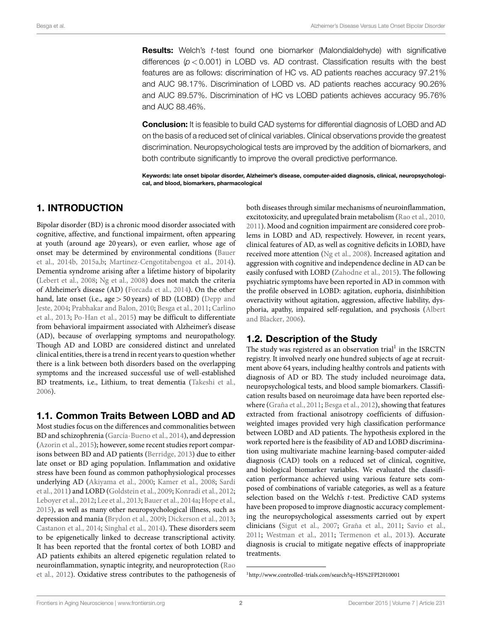**Results:** Welch's *t*-test found one biomarker (Malondialdehyde) with significative differences  $(p < 0.001)$  in LOBD vs. AD contrast. Classification results with the best features are as follows: discrimination of HC vs. AD patients reaches accuracy 97.21% and AUC 98.17%. Discrimination of LOBD vs. AD patients reaches accuracy 90.26% and AUC 89.57%. Discrimination of HC vs LOBD patients achieves accuracy 95.76% and AUC 88.46%.

**Conclusion:** It is feasible to build CAD systems for differential diagnosis of LOBD and AD on the basis of a reduced set of clinical variables. Clinical observations provide the greatest discrimination. Neuropsychological tests are improved by the addition of biomarkers, and both contribute significantly to improve the overall predictive performance.

**Keywords: late onset bipolar disorder, Alzheimer's disease, computer-aided diagnosis, clinical, neuropsychological, and blood, biomarkers, pharmacological**

# **1. INTRODUCTION**

Bipolar disorder (BD) is a chronic mood disorder associated with cognitive, affective, and functional impairment, often appearing at youth (around age 20 years), or even earlier, whose age of onset may be determined by environmental conditions([Bauer](#page-6-0) [et al., 2014b,](#page-6-0) [2015a](#page-6-1)[,b](#page-6-2); [Martinez-Cengotitabengoa et al.](#page-7-0), [2014](#page-7-0)). Dementia syndrome arising after a lifetime history of bipolarity [\(Lebert et al., 2008](#page-7-1); [Ng et al.](#page-7-2), [2008\)](#page-7-2) does not match the criteria of Alzheimer's disease (AD) [\(Forcada et al., 2014\)](#page-7-3). On the other hand, late onset (i.e., age *>* 50 years) of BD (LOBD)([Depp and](#page-7-4) [Jeste](#page-7-4), [2004;](#page-7-4) [Prabhakar and Balon](#page-7-5), [2010](#page-7-5); [Besga et al., 2011;](#page-7-6) [Carlino](#page-7-7) [et al.](#page-7-7), [2013;](#page-7-7) [Po-Han et al.](#page-7-8), [2015](#page-7-8)) may be difficult to differentiate from behavioral impairment associated with Alzheimer's disease (AD), because of overlapping symptoms and neuropathology. Though AD and LOBD are considered distinct and unrelated clinical entities, there is a trend in recent years to question whether there is a link between both disorders based on the overlapping symptoms and the increased successful use of well-established BD treatments, i.e., Lithium, to treat dementia([Takeshi et al.,](#page-8-0) [2006](#page-8-0)).

# **1.1. Common Traits Between LOBD and AD**

Most studies focus on the differences and commonalities between BD and schizophrenia [\(García-Bueno et al.](#page-7-9), [2014](#page-7-9)), and depression [\(Azorin et al., 2015](#page-6-3)); however, some recent studies report comparisons between BD and AD patients [\(Berridge](#page-6-4), [2013\)](#page-6-4) due to either late onset or BD aging population. Inflammation and oxidative stress have been found as common pathophysiological processes underlying AD([Akiyama et al., 2000](#page-6-5); [Kamer et al.](#page-7-10), [2008](#page-7-10); [Sardi](#page-8-1) [et al.](#page-8-1), [2011](#page-8-1)) and LOBD([Goldstein et al., 2009;](#page-7-11) [Konradi et al., 2012;](#page-7-12) [Leboyer et al., 2012](#page-7-13); [Lee et al.](#page-7-14), [2013](#page-7-14); [Bauer et al.](#page-6-6), [2014a](#page-6-6); [Hope et al.,](#page-7-15) [2015](#page-7-15)), as well as many other neuropsychological illness, such as depression and mania [\(Brydon et al.](#page-7-16), [2009;](#page-7-16) [Dickerson et al.](#page-7-17), [2013;](#page-7-17) [Castanon et al., 2014;](#page-7-18) [Singhal et al.](#page-8-2), [2014\)](#page-8-2). These disorders seem to be epigenetically linked to decrease transcriptional activity. It has been reported that the frontal cortex of both LOBD and AD patients exhibits an altered epigenetic regulation related to neuroinflammation, synaptic integrity, and neuroprotection([Rao](#page-7-19) [et al., 2012](#page-7-19)). Oxidative stress contributes to the pathogenesis of both diseases through similar mechanisms of neuroinflammation, excitotoxicity, and upregulated brain metabolism [\(Rao et al.](#page-7-20), [2010](#page-7-20), [2011\)](#page-7-21). Mood and cognition impairment are considered core problems in LOBD and AD, respectively. However, in recent years, clinical features of AD, as well as cognitive deficits in LOBD, have received more attention([Ng et al.](#page-7-2), [2008](#page-7-2)). Increased agitation and aggression with cognitive and independence decline in AD can be easily confused with LOBD [\(Zahodne et al., 2015](#page-8-3)). The following psychiatric symptoms have been reported in AD in common with the profile observed in LOBD: agitation, euphoria, disinhibition overactivity without agitation, aggression, affective liability, dysphoria, apathy, impaired self-regulation, and psychosis [\(Albert](#page-6-7) [and Blacker](#page-6-7), [2006\)](#page-6-7).

# **1.2. Description of the Study**

The study was registered as an observation trial<sup>[1](#page-1-0)</sup> in the ISRCTN registry. It involved nearly one hundred subjects of age at recruitment above 64 years, including healthy controls and patients with diagnosis of AD or BD. The study included neuroimage data, neuropsychological tests, and blood sample biomarkers. Classification results based on neuroimage data have been reported elsewhere([Graña et al.](#page-7-22), [2011](#page-7-22); [Besga et al., 2012\)](#page-7-23), showing that features extracted from fractional anisotropy coefficients of diffusionweighted images provided very high classification performance between LOBD and AD patients. The hypothesis explored in the work reported here is the feasibility of AD and LOBD discrimination using multivariate machine learning-based computer-aided diagnosis (CAD) tools on a reduced set of clinical, cognitive, and biological biomarker variables. We evaluated the classification performance achieved using various feature sets composed of combinations of variable categories, as well as a feature selection based on the Welch's *t*-test. Predictive CAD systems have been proposed to improve diagnostic accuracy complementing the neuropsychological assessments carried out by expert clinicians [\(Sigut et al., 2007;](#page-8-4) [Graña et al., 2011;](#page-7-22) [Savio et al.](#page-8-5), [2011;](#page-8-5) [Westman et al., 2011](#page-8-6); [Termenon et al., 2013](#page-8-7)). Accurate diagnosis is crucial to mitigate negative effects of inappropriate treatments.

<span id="page-1-0"></span><sup>1</sup> <http://www.controlled-trials.com/search?q=HS%2FPI2010001>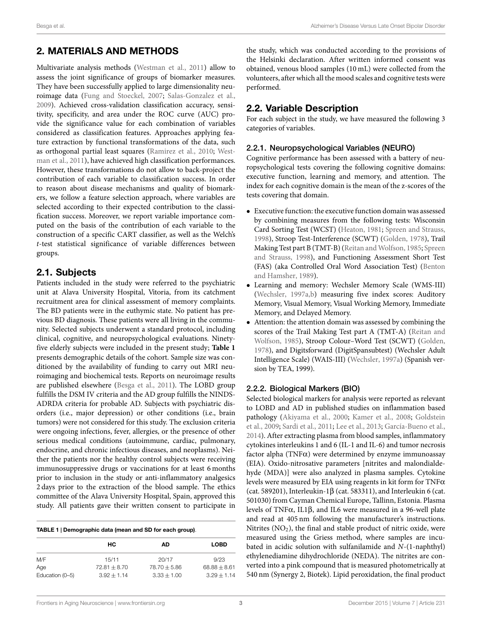# **2. MATERIALS AND METHODS**

Multivariate analysis methods([Westman et al.,](#page-8-6) [2011](#page-8-6)) allow to assess the joint significance of groups of biomarker measures. They have been successfully applied to large dimensionality neuroimage data([Fung and Stoeckel,](#page-7-24) [2007](#page-7-24); [Salas-Gonzalez et al.,](#page-8-8) [2009](#page-8-8)). Achieved cross-validation classification accuracy, sensitivity, specificity, and area under the ROC curve (AUC) provide the significance value for each combination of variables considered as classification features. Approaches applying feature extraction by functional transformations of the data, such as orthogonal partial least squares [\(Ramirez et al.,](#page-7-25) [2010](#page-7-25); [West](#page-8-6)[man et al.,](#page-8-6) [2011](#page-8-6)), have achieved high classification performances. However, these transformations do not allow to back-project the contribution of each variable to classification success. In order to reason about disease mechanisms and quality of biomarkers, we follow a feature selection approach, where variables are selected according to their expected contribution to the classification success. Moreover, we report variable importance computed on the basis of the contribution of each variable to the construction of a specific CART classifier, as well as the Welch's *t*-test statistical significance of variable differences between groups.

# **2.1. Subjects**

Patients included in the study were referred to the psychiatric unit at Alava University Hospital, Vitoria, from its catchment recruitment area for clinical assessment of memory complaints. The BD patients were in the euthymic state. No patient has previous BD diagnosis. These patients were all living in the community. Selected subjects underwent a standard protocol, including clinical, cognitive, and neuropsychological evaluations. Ninetyfive elderly subjects were included in the present study; **[Table 1](#page-2-0)** presents demographic details of the cohort. Sample size was conditioned by the availability of funding to carry out MRI neuroimaging and biochemical tests. Reports on neuroimage results are published elsewhere([Besga et al.](#page-7-6), [2011\)](#page-7-6). The LOBD group fulfills the DSM IV criteria and the AD group fulfills the NINDS-ADRDA criteria for probable AD. Subjects with psychiatric disorders (i.e., major depression) or other conditions (i.e., brain tumors) were not considered for this study. The exclusion criteria were ongoing infections, fever, allergies, or the presence of other serious medical conditions (autoimmune, cardiac, pulmonary, endocrine, and chronic infectious diseases, and neoplasms). Neither the patients nor the healthy control subjects were receiving immunosuppressive drugs or vaccinations for at least 6 months prior to inclusion in the study or anti-inflammatory analgesics 2 days prior to the extraction of the blood sample. The ethics committee of the Alava University Hospital, Spain, approved this study. All patients gave their written consent to participate in

<span id="page-2-0"></span>**TABLE 1 | Demographic data (mean and SD for each group)**.

|                 | HС               | AD             | <b>LOBD</b>    |
|-----------------|------------------|----------------|----------------|
| M/F             | 15/11            | 20/17          | 9/23           |
| Age             | $72.81 \pm 8.70$ | $78.70 + 5.86$ | $68.88 + 8.61$ |
| Education (0-5) | $3.92 + 1.14$    | $3.33 + 1.00$  | $3.29 + 1.14$  |

the study, which was conducted according to the provisions of the Helsinki declaration. After written informed consent was obtained, venous blood samples (10 mL) were collected from the volunteers, after which all the mood scales and cognitive tests were performed.

# **2.2. Variable Description**

For each subject in the study, we have measured the following 3 categories of variables.

#### 2.2.1. Neuropsychological Variables (NEURO)

Cognitive performance has been assessed with a battery of neuropsychological tests covering the following cognitive domains: executive function, learning and memory, and attention. The index for each cognitive domain is the mean of the z-scores of the tests covering that domain.

- *•* Executive function: the executive function domain was assessed by combining measures from the following tests: Wisconsin Card Sorting Test (WCST) [\(Heaton](#page-7-26), [1981;](#page-7-26) [Spreen and Strauss](#page-8-9), [1998](#page-8-9)), Stroop Test-Interference (SCWT)([Golden,](#page-7-27) [1978\)](#page-7-27), Trail MakingTest part B (TMT-B) (Reitan and Wolfson, [1985;](#page-7-28) [Spreen](#page-8-9) [and Strauss](#page-8-9), [1998\)](#page-8-9), and Functioning Assessment Short Test (FAS) (aka Controlled Oral Word Association Test)([Benton](#page-6-8) [and Hamsher](#page-6-8), [1989\)](#page-6-8).
- *•* Learning and memory: Wechsler Memory Scale (WMS-III) [\(Wechsler](#page-8-10), [1997a](#page-8-10),[b](#page-8-11)) measuring five index scores: Auditory Memory, Visual Memory, Visual Working Memory, Immediate Memory, and Delayed Memory.
- *•* Attention: the attention domain was assessed by combining the scores of the Trail Making Test part A (TMT-A) [\(Reitan and](#page-7-28) [Wolfson,](#page-7-28) [1985](#page-7-28)), Stroop Colour–Word Test (SCWT)([Golden](#page-7-27), [1978](#page-7-27)), and Digitsforward (DigitSpansubtest) (Wechsler Adult Intelligence Scale) (WAIS-III)([Wechsler](#page-8-10), [1997a](#page-8-10)) (Spanish version by TEA, 1999).

#### 2.2.2. Biological Markers (BIO)

Selected biological markers for analysis were reported as relevant to LOBD and AD in published studies on inflammation based pathology [\(Akiyama et al.](#page-6-5), [2000;](#page-6-5) [Kamer et al.,](#page-7-10) [2008;](#page-7-10) [Goldstein](#page-7-11) [et al.](#page-7-11), [2009;](#page-7-11) [Sardi et al.,](#page-8-1) [2011](#page-8-1); [Lee et al.,](#page-7-14) [2013](#page-7-14); [García-Bueno et al.](#page-7-9), [2014\)](#page-7-9). After extracting plasma from blood samples, inflammatory cytokines interleukins 1 and 6 (IL-1 and IL-6) and tumor necrosis factor alpha (TNF $\alpha$ ) were determined by enzyme immunoassay (EIA). Oxido-nitrosative parameters [nitrites and malondialdehyde (MDA)] were also analyzed in plasma samples. Cytokine levels were measured by EIA using reagents in kit form for  $TNF\alpha$ (cat. 589201), Interleukin-1 $\beta$  (cat. 583311), and Interleukin 6 (cat. 501030) from Cayman Chemical Europe, Tallinn, Estonia. Plasma levels of TNFα, IL1β, and IL6 were measured in a 96-well plate and read at 405 nm following the manufacturer's instructions. Nitrites  $(NO<sub>2</sub>)$ , the final and stable product of nitric oxide, were measured using the Griess method, where samples are incubated in acidic solution with sulfanilamide and *N*-(1-naphthyl) ethylenediamine dihydrochloride (NEDA). The nitrites are converted into a pink compound that is measured photometrically at 540 nm (Synergy 2, Biotek). Lipid peroxidation, the final product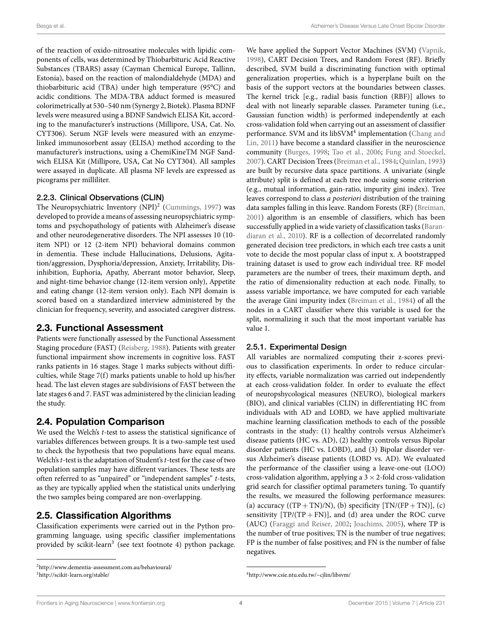of the reaction of oxido-nitrosative molecules with lipidic components of cells, was determined by Thiobarbituric Acid Reactive Substances (TBARS) assay (Cayman Chemical Europe, Tallinn, Estonia), based on the reaction of malondialdehyde (MDA) and thiobarbituric acid (TBA) under high temperature (95°C) and acidic conditions. The MDA-TBA adduct formed is measured colorimetrically at 530–540 nm (Synergy 2, Biotek). Plasma BDNF levels were measured using a BDNF Sandwich ELISA Kit, according to the manufacturer's instructions (Millipore, USA, Cat. No. CYT306). Serum NGF levels were measured with an enzymelinked immunosorbent assay (ELISA) method according to the manufacturer's instructions, using a ChemiKineTM NGF Sandwich ELISA Kit (Millipore, USA, Cat No CYT304). All samples were assayed in duplicate. All plasma NF levels are expressed as picograms per milliliter.

#### 2.2.3. Clinical Observations (CLIN)

The Neuropsychiatric Inventory (NPI)<sup>[2](#page-3-0)</sup> [\(Cummings,](#page-7-29) [1997](#page-7-29)) was developed to provide a means of assessing neuropsychiatric symptoms and psychopathology of patients with Alzheimer's disease and other neurodegenerative disorders. The NPI assesses 10 (10 item NPI) or 12 (2-item NPI) behavioral domains common in dementia. These include Hallucinations, Delusions, Agitation/aggression, Dysphoria/depression, Anxiety, Irritability, Disinhibition, Euphoria, Apathy, Aberrant motor behavior, Sleep, and night-time behavior change (12-item version only), Appetite and eating change (12-item version only). Each NPI domain is scored based on a standardized interview administered by the clinician for frequency, severity, and associated caregiver distress.

### **2.3. Functional Assessment**

Patients were functionally assessed by the Functional Assessment Staging procedure (FAST)([Reisberg](#page-7-30), [1988](#page-7-30)). Patients with greater functional impairment show increments in cognitive loss. FAST ranks patients in 16 stages. Stage 1 marks subjects without difficulties, while Stage 7(f) marks patients unable to hold up his/her head. The last eleven stages are subdivisions of FAST between the late stages 6 and 7. FAST was administered by the clinician leading the study.

# **2.4. Population Comparison**

We used the Welch's *t*-test to assess the statistical significance of variables differences between groups. It is a two-sample test used to check the hypothesis that two populations have equal means. Welch's*t*-test is the adaptation of Student's*t*-test for the case of two population samples may have different variances. These tests are often referred to as "unpaired" or "independent samples" *t*-tests, as they are typically applied when the statistical units underlying the two samples being compared are non-overlapping.

# **2.5. Classification Algorithms**

Classification experiments were carried out in the Python programming language, using specific classifier implementations provided by scikit-learn<sup>[3](#page-3-1)</sup> (see text footnote 4) python package.

We have applied the Support Vector Machines (SVM) [\(Vapnik](#page-8-12), [1998\)](#page-8-12), CART Decision Trees, and Random Forest (RF). Briefly described, SVM build a discriminating function with optimal generalization properties, which is a hyperplane built on the basis of the support vectors at the boundaries between classes. The kernel trick [e.g., radial basis function (RBF)] allows to deal with not linearly separable classes. Parameter tuning (i.e., Gaussian function width) is performed independently at each cross-validation fold when carrying out an assessment of classifier performance. SVM and its libSVM<sup>[4](#page-3-2)</sup>implementation ([Chang and](#page-7-31) [Lin](#page-7-31), [2011](#page-7-31)) have become a standard classifier in the neuroscience community [\(Burges](#page-7-32), [1998;](#page-7-32) [Tao et al.](#page-8-13), [2006;](#page-8-13) [Fung and Stoeckel](#page-7-24), [2007\)](#page-7-24). CART Decision Trees [\(Breiman et al.,](#page-7-33) [1984;](#page-7-33) [Quinlan](#page-7-34), [1993](#page-7-34)) are built by recursive data space partitions. A univariate (single attribute) split is defined at each tree node using some criterion (e.g., mutual information, gain-ratio, impurity gini index). Tree leaves correspond to class *a posteriori* distribution of the training data samples falling in this leave. Random Forests (RF)([Breiman](#page-7-35), [2001\)](#page-7-35) algorithm is an ensemble of classifiers, which has been successfully applied in a wide variety of classification tasks [\(Baran](#page-6-9)[diaran et al.,](#page-6-9) [2010](#page-6-9)). RF is a collection of decorrelated randomly generated decision tree predictors, in which each tree casts a unit vote to decide the most popular class of input x. A bootstrapped training dataset is used to grow each individual tree. RF model parameters are the number of trees, their maximum depth, and the ratio of dimensionality reduction at each node. Finally, to assess variable importance, we have computed for each variable the average Gini impurity index [\(Breiman et al.](#page-7-33), [1984](#page-7-33)) of all the nodes in a CART classifier where this variable is used for the split, normalizing it such that the most important variable has value 1.

#### 2.5.1. Experimental Design

All variables are normalized computing their z-scores previous to classification experiments. In order to reduce circularity effects, variable normalization was carried out independently at each cross-validation folder. In order to evaluate the effect of neuropshycological measures (NEURO), biological markers (BIO), and clinical variables (CLIN) in differentiating HC from individuals with AD and LOBD, we have applied multivariate machine learning classification methods to each of the possible contrasts in the study: (1) healthy controls versus Alzheimer's disease patients (HC vs. AD), (2) healthy controls versus Bipolar disorder patients (HC vs. LOBD), and (3) Bipolar disorder versus Alzheimer's disease patients (LOBD vs. AD). We evaluated the performance of the classifier using a leave-one-out (LOO) cross-validation algorithm, applying a 3 *×* 2-fold cross-validation grid search for classifier optimal parameters tuning. To quantify the results, we measured the following performance measures: (a) accuracy ((TP + TN)/N), (b) specificity  $[TN/(FP + TN)],$  (c) sensitivity  $[TP/(TP + FN)]$ , and (d) area under the ROC curve (AUC)([Faraggi and Reiser,](#page-7-36) [2002](#page-7-36); [Joachims](#page-7-37), [2005](#page-7-37)), where TP is the number of true positives; TN is the number of true negatives; FP is the number of false positives; and FN is the number of false negatives.

<span id="page-3-0"></span><sup>2</sup> <http://www.dementia-assessment.com.au/behavioural/>

<span id="page-3-1"></span><sup>3</sup> <http://scikit-learn.org/stable/>

<span id="page-3-2"></span><sup>4</sup> <http://www.csie.ntu.edu.tw/~cjlin/libsvm/>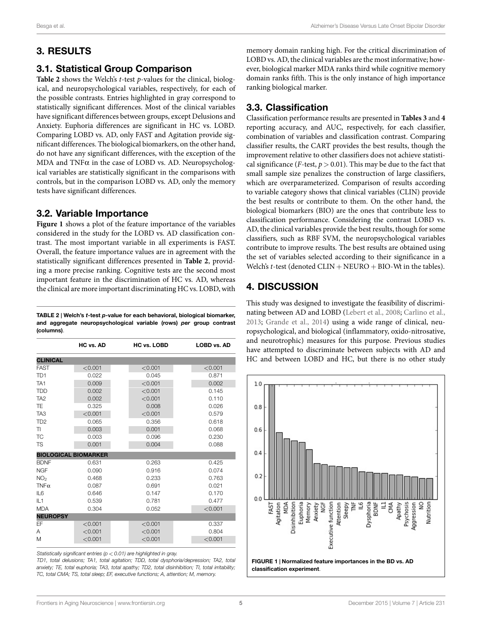# **3. RESULTS**

# **3.1. Statistical Group Comparison**

**[Table 2](#page-4-0)** shows the Welch's *t*-test *p*-values for the clinical, biological, and neuropsychological variables, respectively, for each of the possible contrasts. Entries highlighted in gray correspond to statistically significant differences. Most of the clinical variables have significant differences between groups, except Delusions and Anxiety. Euphoria differences are significant in HC vs. LOBD. Comparing LOBD vs. AD, only FAST and Agitation provide significant differences. The biological biomarkers, on the other hand, do not have any significant differences, with the exception of the MDA and TNFα in the case of LOBD vs. AD. Neuropsychological variables are statistically significant in the comparisons with controls, but in the comparison LOBD vs. AD, only the memory tests have significant differences.

# **3.2. Variable Importance**

**[Figure 1](#page-4-1)** shows a plot of the feature importance of the variables considered in the study for the LOBD vs. AD classification contrast. The most important variable in all experiments is FAST. Overall, the feature importance values are in agreement with the statistically significant differences presented in **[Table 2](#page-4-0)**, providing a more precise ranking. Cognitive tests are the second most important feature in the discrimination of HC vs. AD, whereas the clinical are more important discriminating HC vs. LOBD, with

<span id="page-4-0"></span>**TABLE 2 | Welch's** *t***-test** *p***-value for each behavioral, biological biomarker, and aggregate neuropsychological variable (rows)** *per* **group contrast (columns)**.

|                             | HC vs. AD | <b>HC vs. LOBD</b> | <b>LOBD vs. AD</b> |
|-----------------------------|-----------|--------------------|--------------------|
| <b>CLINICAL</b>             |           |                    |                    |
| <b>FAST</b>                 | < 0.001   | < 0.001            | < 0.001            |
| TD <sub>1</sub>             | 0.022     | 0.045              | 0.871              |
| TA <sub>1</sub>             | 0.009     | < 0.001            | 0.002              |
| <b>TDD</b>                  | 0.002     | < 0.001            | 0.145              |
| TA <sub>2</sub>             | 0.002     | < 0.001            | 0.110              |
| <b>TE</b>                   | 0.325     | 0.008              | 0.026              |
| TA <sub>3</sub>             | < 0.001   | < 0.001            | 0.579              |
| T <sub>D</sub> <sub>2</sub> | 0.065     | 0.356              | 0.618              |
| <b>TI</b>                   | 0.003     | 0.001              | 0.068              |
| <b>TC</b>                   | 0.003     | 0.096              | 0.230              |
| <b>TS</b>                   | 0.001     | 0.004              | 0.088              |
| <b>BIOLOGICAL BIOMARKER</b> |           |                    |                    |
| <b>BDNF</b>                 | 0.631     | 0.263              | 0.425              |
| <b>NGF</b>                  | 0.090     | 0.916              | 0.074              |
| NO <sub>2</sub>             | 0.468     | 0.233              | 0.763              |
| $TNF\alpha$                 | 0.087     | 0.691              | 0.021              |
| IL6                         | 0.646     | 0.147              | 0.170              |
| IL1                         | 0.539     | 0.781              | 0.477              |
| <b>MDA</b>                  | 0.304     | 0.052              | < 0.001            |
| <b>NEUROPSY</b>             |           |                    |                    |
| <b>FF</b>                   | < 0.001   | < 0.001            | 0.337              |
| Α                           | < 0.001   | < 0.001            | 0.804              |
| M                           | < 0.001   | < 0.001            | < 0.001            |

*Statistically significant entries (p < 0.01) are highlighted in gray.*

*TD1, total delusions; TA1, total agitation; TDD, total dysphoria/depression; TA2, total anxiety; TE, total euphoria; TA3, total apathy; TD2, total disinhibition; TI, total irritability; TC, total CMA; TS, total sleep; EF, executive functions; A, attention; M, memory.*

memory domain ranking high. For the critical discrimination of LOBD vs. AD, the clinical variables are the most informative; however, biological marker MDA ranks third while cognitive memory domain ranks fifth. This is the only instance of high importance ranking biological marker.

# **3.3. Classification**

Classification performance results are presented in **[Tables 3](#page-5-0)** and **[4](#page-5-1)** reporting accuracy, and AUC, respectively, for each classifier, combination of variables and classification contrast. Comparing classifier results, the CART provides the best results, though the improvement relative to other classifiers does not achieve statistical significance (*F*-test,  $p > 0.01$ ). This may be due to the fact that small sample size penalizes the construction of large classifiers, which are overparameterized. Comparison of results according to variable category shows that clinical variables (CLIN) provide the best results or contribute to them. On the other hand, the biological biomarkers (BIO) are the ones that contribute less to classification performance. Considering the contrast LOBD vs. AD, the clinical variables provide the best results, though for some classifiers, such as RBF SVM, the neuropsychological variables contribute to improve results. The best results are obtained using the set of variables selected according to their significance in a Welch's *t*-test (denoted CLIN + NEURO + BIO-Wt in the tables).

# **4. DISCUSSION**

This study was designed to investigate the feasibility of discriminating between AD and LOBD [\(Lebert et al.](#page-7-1), [2008;](#page-7-1) [Carlino et al.](#page-7-7), [2013;](#page-7-7) [Grande et al.,](#page-7-38) [2014\)](#page-7-38) using a wide range of clinical, neuropsychological, and biological (inflammatory, oxido-nitrosative, and neurotrophic) measures for this purpose. Previous studies have attempted to discriminate between subjects with AD and HC and between LOBD and HC, but there is no other study

<span id="page-4-1"></span>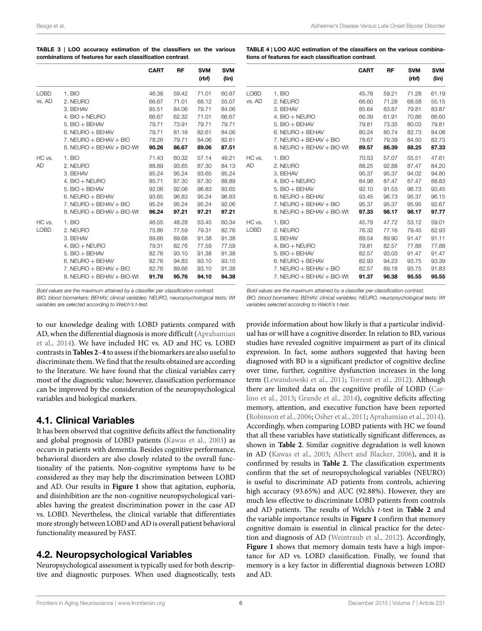<span id="page-5-0"></span>

| TABLE 3   LOO accuracy estimation of the classifiers on the various |  |  |  |  |  |  |  |
|---------------------------------------------------------------------|--|--|--|--|--|--|--|
| combinations of features for each classification contrast.          |  |  |  |  |  |  |  |

|                       |                               | <b>CART</b> | RF    | <b>SVM</b><br>(rbf) | <b>SVM</b><br>(lin) |
|-----------------------|-------------------------------|-------------|-------|---------------------|---------------------|
| <b>LOBD</b>           | 1. BIO                        | 46.38       | 59.42 | 71.01               | 60.87               |
| vs. AD                | 2. NEURO                      | 66.67       | 71.01 | 68.12               | 55.07               |
|                       | 3. BEHAV                      | 85.51       | 84.06 | 79.71               | 84.06               |
|                       | 4. $BIO + NEURO$              | 66.67       | 62.32 | 71.01               | 66.67               |
|                       | $5.$ BIO $+$ BEHAV            | 79.71       | 73.91 | 79.71               | 79.71               |
|                       | $6.$ NEURO $+$ BEHAV          | 79.71       | 81.16 | 82.61               | 84.06               |
|                       | $7.$ NEURO $+$ BEHAV $+$ BIO  | 78.26       | 79.71 | 84.06               | 82.61               |
|                       | 8. NEURO $+$ BEHAV $+$ BIO-Wt | 90.26       | 86.67 | 89.06               | 87.51               |
| HC vs.                | 1. BIO                        | 71.43       | 60.32 | 57.14               | 49.21               |
| <b>AD</b>             | 2. NEURO                      | 88.89       | 93.65 | 87.30               | 84.13               |
|                       | 3. BEHAV                      | 95.24       | 95.24 | 93.65               | 95.24               |
|                       | $4.$ BIO $+$ NEURO            | 85.71       | 87.30 | 87.30               | 88.89               |
|                       | $5.$ BIO $+$ BEHAV            | 92.06       | 92.06 | 96.83               | 93.65               |
|                       | $6.$ NEURO $+$ BEHAV          | 93.65       | 96.83 | 95.24               | 96.83               |
|                       | 7. NEURO + BEHAV + BIO        | 95.24       | 95.24 | 95.24               | 92.06               |
|                       | 8. NEURO $+$ BEHAV $+$ BIO-Wt | 96.24       | 97.21 | 97.21               | 97.21               |
| HC vs.<br><b>LOBD</b> | 1. BIO                        | 46.55       | 48.28 | 53.45               | 60.34               |
|                       | 2. NEURO                      | 75.86       | 77.59 | 79.31               | 82.76               |
|                       | 3. BEHAV                      | 89.66       | 89.66 | 91.38               | 91.38               |
|                       | 4. $BIO + NEURO$              | 79.31       | 82.76 | 77.59               | 77.59               |
|                       | $5.$ BIO $+$ BEHAV            | 82.76       | 93.10 | 91.38               | 91.38               |
|                       | $6.$ NEURO $+$ BEHAV          | 82.76       | 94.83 | 93.10               | 93.10               |
|                       | $7.$ NEURO + BEHAV + BIO      | 82.76       | 89.66 | 93.10               | 91.38               |
|                       | 8. NEURO + BEHAV + BIO-Wt     | 91.76       | 95.76 | 94.10               | 94.38               |

<span id="page-5-1"></span>**TABLE 4 | LOO AUC estimation of the classifiers on the various combinations of features for each classification contrast**.

|        |                               | <b>CART</b> | RF    | <b>SVM</b><br>(rbf) | <b>SVM</b><br>(lin) |
|--------|-------------------------------|-------------|-------|---------------------|---------------------|
| LOBD   | 1. BIO                        | 45.78       | 59.21 | 71.28               | 61.19               |
| vs. AD | 2. NEURO                      | 66.60       | 71.28 | 68.58               | 55.15               |
|        | 3. BEHAV                      | 85.64       | 83.87 | 79.81               | 83.87               |
|        | 4. BIO + NEURO                | 66.39       | 61.91 | 70.86               | 66.60               |
|        | $5.$ BIO $+$ BEHAV            | 79.81       | 73.35 | 80.03               | 79.81               |
|        | 6. NEURO + BEHAV              | 80.24       | 80.74 | 82.73               | 84.08               |
|        | $7.$ NEURO $+$ BEHAV $+$ BIO  | 78.67       | 79.39 | 84.50               | 82.73               |
|        | 8. NEURO $+$ BEHAV $+$ BIO-Wt | 89.57       | 86.39 | 88.25               | 87.33               |
| HC vs. | 1. BIO                        | 70.53       | 57.07 | 55.51               | 47.61               |
| AD     | 2. NEURO                      | 88.25       | 92.88 | 87.47               | 84.20               |
|        | 3. BEHAV                      | 95.37       | 95.37 | 94.02               | 94.80               |
|        | $4.$ BIO $+$ NEURO            | 84.98       | 87.47 | 87.47               | 88.83               |
|        | $5.$ BIO $+$ BEHAV            | 92.10       | 91.53 | 96.73               | 93.45               |
|        | $6.$ NEURO $+$ BEHAV          | 93.45       | 96.73 | 95.37               | 96.15               |
|        | $7.$ NEURO $+$ BEHAV $+$ BIO  | 95.37       | 95.37 | 95.95               | 92.67               |
|        | 8. NEURO + BEHAV + BIO-Wt     | 97.33       | 98.17 | 98.17               | 97.77               |
| HC vs. | 1. BIO                        | 45.79       | 47.72 | 53.12               | 59.01               |
| LOBD   | 2. NEURO                      | 76.32       | 77.16 | 79.45               | 82.93               |
|        | 3. BEHAV                      | 89.54       | 89.90 | 91.47               | 91.11               |
|        | 4. BIO + NEURO                | 79.81       | 82.57 | 77.88               | 77.88               |
|        | $5.$ BIO $+$ BEHAV            | 82.57       | 93.03 | 91.47               | 91.47               |
|        | 6. NEURO + BEHAV              | 82.93       | 94.23 | 93.75               | 93.39               |
|        | $7.$ NEURO $+$ BEHAV $+$ BIO  | 82.57       | 89.18 | 93.75               | 91.83               |
|        | 7. NEURO $+$ BEHAV $+$ BIO-Wt | 91.37       | 96.38 | 95.55               | 95.55               |

*Bold values are the maximum attained by a classifier per classification contrast.*

*BIO, blood biomarkers; BEHAV, clinical variables; NEURO, neuropsychological tests; Wt variables are selected according to Welch's t-test.*

to our knowledge dealing with LOBD patients compared with AD, when the differential diagnosis is more difficult([Aprahamian](#page-6-10) [et al.](#page-6-10), [2014](#page-6-10)). We have included HC vs. AD and HC vs. LOBD contrasts in**[Tables 2](#page-4-0)**–**[4](#page-5-1)** to assess if the biomarkers are also useful to discriminate them. We find that the results obtained are according to the literature. We have found that the clinical variables carry most of the diagnostic value; however, classification performance can be improved by the consideration of the neuropsychological variables and biological markers.

# **4.1. Clinical Variables**

It has been observed that cognitive deficits affect the functionality and global prognosis of LOBD patients([Kawas et al.,](#page-7-39) [2003](#page-7-39)) as occurs in patients with dementia. Besides cognitive performance, behavioral disorders are also closely related to the overall functionality of the patients. Non-cognitive symptoms have to be considered as they may help the discrimination between LOBD and AD. Our results in **[Figure 1](#page-4-1)** show that agitation, euphoria, and disinhibition are the non-cognitive neuropsychological variables having the greatest discrimination power in the case AD vs. LOBD. Nevertheless, the clinical variable that differentiates more strongly between LOBD and AD is overall patient behavioral functionality measured by FAST.

# **4.2. Neuropsychological Variables**

Neuropsychological assessment is typically used for both descriptive and diagnostic purposes. When used diagnostically, tests *Bold values are the maximum attained by a classifier per classification contrast.*

*BIO, blood biomarkers; BEHAV, clinical variables; NEURO, neuropsychological tests; Wt variables selected according to Welch's t-test.*

provide information about how likely is that a particular individual has or will have a cognitive disorder. In relation to BD, various studies have revealed cognitive impairment as part of its clinical expression. In fact, some authors suggested that having been diagnosed with BD is a significant predictor of cognitive decline over time, further, cognitive dysfunction increases in the long term [\(Lewandowski et al.,](#page-7-40) [2011](#page-7-40); [Torrent et al.](#page-8-14), [2012\)](#page-8-14). Although there are limited data on the cognitive profile of LOBD [\(Car](#page-7-7)[lino et al.,](#page-7-7) [2013;](#page-7-7) [Grande et al.,](#page-7-38) [2014\)](#page-7-38), cognitive deficits affecting memory, attention, and executive function have been reported ([Robinson et al.](#page-7-41), [2006](#page-7-41); [Osher et al.,](#page-7-42) [2011;](#page-7-42) [Aprahamian et al.,](#page-6-10) [2014\)](#page-6-10). Accordingly, when comparing LOBD patients with HC we found that all these variables have statistically significant differences, as shown in **[Table 2](#page-4-0)**. Similar cognitive degradation is well known in AD([Kawas et al.,](#page-7-39) [2003](#page-7-39); [Albert and Blacker](#page-6-7), [2006](#page-6-7)), and it is confirmed by results in **[Table 2](#page-4-0)**. The classification experiments confirm that the set of neuropsychological variables (NEURO) is useful to discriminate AD patients from controls, achieving high accuracy (93.65%) and AUC (92.88%). However, they are much less effective to discriminate LOBD patients from controls and AD patients. The results of Welch's *t*-test in **[Table 2](#page-4-0)** and the variable importance results in **[Figure 1](#page-4-1)** confirm that memory cognitive domain is essential in clinical practice for the detection and diagnosis of AD [\(Weintraub et al.,](#page-8-15) [2012](#page-8-15)). Accordingly, **[Figure 1](#page-4-1)** shows that memory domain tests have a high importance for AD vs. LOBD classification. Finally, we found that memory is a key factor in differential diagnosis between LOBD and AD.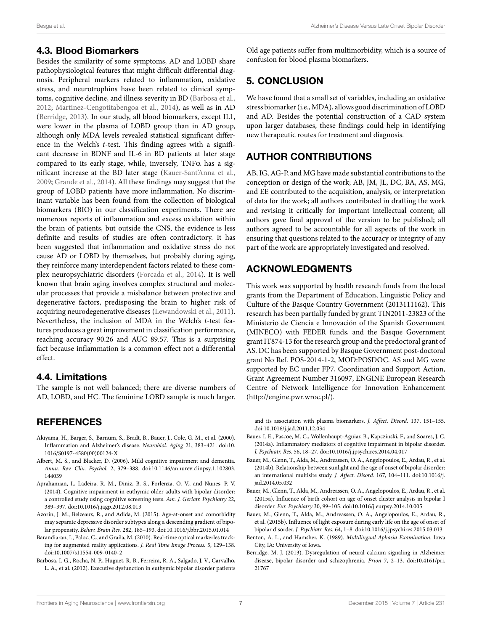### **4.3. Blood Biomarkers**

Besides the similarity of some symptoms, AD and LOBD share pathophysiological features that might difficult differential diagnosis. Peripheral markers related to inflammation, oxidative stress, and neurotrophins have been related to clinical symptoms, cognitive decline, and illness severity in BD [\(Barbosa et al.,](#page-6-11) [2012](#page-6-11); [Martinez-Cengotitabengoa et al.](#page-7-0), [2014](#page-7-0)), as well as in AD [\(Berridge](#page-6-4), [2013](#page-6-4)). In our study, all blood biomarkers, except IL1, were lower in the plasma of LOBD group than in AD group, although only MDA levels revealed statistical significant difference in the Welch's *t*-test. This finding agrees with a significant decrease in BDNF and IL-6 in BD patients at later stage compared to its early stage, while, inversely,  $TNF\alpha$  has a significant increase at the BD later stage([Kauer-Sant'Anna et al.,](#page-7-43) [2009](#page-7-43); [Grande et al.,](#page-7-38) [2014](#page-7-38)). All these findings may suggest that the group of LOBD patients have more inflammation. No discriminant variable has been found from the collection of biological biomarkers (BIO) in our classification experiments. There are numerous reports of inflammation and excess oxidation within the brain of patients, but outside the CNS, the evidence is less definite and results of studies are often contradictory. It has been suggested that inflammation and oxidative stress do not cause AD or LOBD by themselves, but probably during aging, they reinforce many interdependent factors related to these complex neuropsychiatric disorders([Forcada et al.](#page-7-3), [2014\)](#page-7-3). It is well known that brain aging involves complex structural and molecular processes that provide a misbalance between protective and degenerative factors, predisposing the brain to higher risk of acquiring neurodegenerative diseases [\(Lewandowski et al.](#page-7-40), [2011](#page-7-40)). Nevertheless, the inclusion of MDA in the Welch's *t*-test features produces a great improvement in classification performance, reaching accuracy 90.26 and AUC 89.57. This is a surprising fact because inflammation is a common effect not a differential effect.

# **4.4. Limitations**

The sample is not well balanced; there are diverse numbers of AD, LOBD, and HC. The feminine LOBD sample is much larger.

# **REFERENCES**

- <span id="page-6-5"></span>Akiyama, H., Barger, S., Barnum, S., Bradt, B., Bauer, J., Cole, G. M., et al. (2000). Inflammation and Alzheimer's disease. *Neurobiol. Aging* 21, 383–421. doi[:10.](http://dx.doi.org/10.1016/S0197-4580(00)00124-X) [1016/S0197-4580\(00\)00124-X](http://dx.doi.org/10.1016/S0197-4580(00)00124-X)
- <span id="page-6-7"></span>Albert, M. S., and Blacker, D. (2006). Mild cognitive impairment and dementia. *Annu. Rev. Clin. Psychol.* 2, 379–388. doi[:10.1146/annurev.clinpsy.1.102803.](http://dx.doi.org/10.1146/annurev.clinpsy.1.102803.144039) [144039](http://dx.doi.org/10.1146/annurev.clinpsy.1.102803.144039)
- <span id="page-6-10"></span>Aprahamian, I., Ladeira, R. M., Diniz, B. S., Forlenza, O. V., and Nunes, P. V. (2014). Cognitive impairment in euthymic older adults with bipolar disorder: a controlled study using cognitive screening tests. *Am. J. Geriatr. Psychiatry* 22, 389–397. doi[:10.1016/j.jagp.2012.08.013](http://dx.doi.org/10.1016/j.jagp.2012.08.013)
- <span id="page-6-3"></span>Azorin, J. M., Belzeaux, R., and Adida, M. (2015). Age-at-onset and comorbidity may separate depressive disorder subtypes along a descending gradient of bipolar propensity. *Behav. Brain Res.* 282, 185–193. doi:[10.1016/j.bbr.2015.01.014](http://dx.doi.org/10.1016/j.bbr.2015.01.014)
- <span id="page-6-9"></span>Barandiaran, I., Paloc, C., and Graña, M. (2010). Real-time optical markerles tracking for augmented reality applications. *J. Real Time Image Process.* 5, 129–138. doi:[10.1007/s11554-009-0140-2](http://dx.doi.org/10.1007/s11554-009-0140-2)
- <span id="page-6-11"></span>Barbosa, I. G., Rocha, N. P., Huguet, R. B., Ferreira, R. A., Salgado, J. V., Carvalho, L. A., et al. (2012). Executive dysfunction in euthymic bipolar disorder patients

Old age patients suffer from multimorbidity, which is a source of confusion for blood plasma biomarkers.

# **5. CONCLUSION**

We have found that a small set of variables, including an oxidative stress biomarker (i.e., MDA), allows good discrimination of LOBD and AD. Besides the potential construction of a CAD system upon larger databases, these findings could help in identifying new therapeutic routes for treatment and diagnosis.

# **AUTHOR CONTRIBUTIONS**

AB, IG, AG-P, and MG have made substantial contributions to the conception or design of the work; AB, JM, JL, DC, BA, AS, MG, and EE contributed to the acquisition, analysis, or interpretation of data for the work; all authors contributed in drafting the work and revising it critically for important intellectual content; all authors gave final approval of the version to be published; all authors agreed to be accountable for all aspects of the work in ensuring that questions related to the accuracy or integrity of any part of the work are appropriately investigated and resolved.

# **ACKNOWLEDGMENTS**

This work was supported by health research funds from the local grants from the Department of Education, Linguistic Policy and Culture of the Basque Country Government (2013111162). This research has been partially funded by grant TIN2011-23823 of the Ministerio de Ciencia e Innovación of the Spanish Government (MINECO) with FEDER funds, and the Basque Government grant IT874-13 for the research group and the predoctoral grant of AS. DC has been supported by Basque Government post-doctoral grant No Ref. POS-2014-1-2, MOD:POSDOC. AS and MG were supported by EC under FP7, Coordination and Support Action, Grant Agreement Number 316097, ENGINE European Research Centre of Network Intelligence for Innovation Enhancement (<http://engine.pwr.wroc.pl/>).

and its association with plasma biomarkers. *J. Affect. Disord.* 137, 151–155. doi:[10.1016/j.jad.2011.12.034](http://dx.doi.org/10.1016/j.jad.2011.12.034)

- <span id="page-6-6"></span>Bauer, I. E., Pascoe, M. C., Wollenhaupt-Aguiar, B., Kapczinski, F., and Soares, J. C. (2014a). Inflammatory mediators of cognitive impairment in bipolar disorder. *J. Psychiatr. Res.* 56, 18–27. doi:[10.1016/j.jpsychires.2014.04.017](http://dx.doi.org/10.1016/j.jpsychires.2014.04.017)
- <span id="page-6-0"></span>Bauer, M., Glenn, T., Alda, M., Andreassen, O. A., Angelopoulos, E., Ardau, R., et al. (2014b). Relationship between sunlight and the age of onset of bipolar disorder: an international multisite study. *J. Affect. Disord.* 167, 104–111. doi[:10.1016/j.](http://dx.doi.org/10.1016/j.jad.2014.05.032) [jad.2014.05.032](http://dx.doi.org/10.1016/j.jad.2014.05.032)
- <span id="page-6-1"></span>Bauer, M., Glenn, T., Alda, M., Andreassen, O. A., Angelopoulos, E., Ardau, R., et al. (2015a). Influence of birth cohort on age of onset cluster analysis in bipolar I disorder. *Eur. Psychiatry* 30, 99–105. doi[:10.1016/j.eurpsy.2014.10.005](http://dx.doi.org/10.1016/j.eurpsy.2014.10.005)
- <span id="page-6-2"></span>Bauer, M., Glenn, T., Alda, M., Andreassen, O. A., Angelopoulos, E., Ardau, R., et al. (2015b). Influence of light exposure during early life on the age of onset of bipolar disorder. *J. Psychiatr. Res.* 64, 1–8. doi[:10.1016/j.jpsychires.2015.03.013](http://dx.doi.org/10.1016/j.jpsychires.2015.03.013)
- <span id="page-6-8"></span>Benton, A. L., and Hamsher, K. (1989). *Multilingual Aphasia Examination*. Iowa City, IA: University of Iowa.
- <span id="page-6-4"></span>Berridge, M. J. (2013). Dysregulation of neural calcium signaling in Alzheimer disease, bipolar disorder and schizophrenia. *Prion* 7, 2–13. doi[:10.4161/pri.](http://dx.doi.org/10.4161/pri.21767) [21767](http://dx.doi.org/10.4161/pri.21767)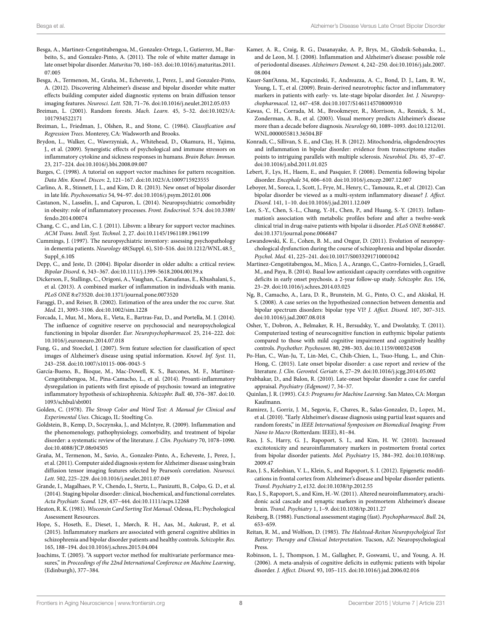- <span id="page-7-6"></span>Besga, A., Martinez-Cengotitabengoa, M., Gonzalez-Ortega, I., Gutierrez, M., Barbeito, S., and Gonzalez-Pinto, A. (2011). The role of white matter damage in late onset bipolar disorder. *Maturitas* 70, 160–163. doi[:10.1016/j.maturitas.2011.](http://dx.doi.org/10.1016/j.maturitas.2011.07.005) [07.005](http://dx.doi.org/10.1016/j.maturitas.2011.07.005)
- <span id="page-7-23"></span>Besga, A., Termenon, M., Graña, M., Echeveste, J., Perez, J., and Gonzalez-Pinto, A. (2012). Discovering Alzheimer's disease and bipolar disorder white matter effects building computer aided diagnostic systems on brain diffusion tensor imaging features. *Neurosci. Lett.* 520, 71–76. doi:[10.1016/j.neulet.2012.05.033](http://dx.doi.org/10.1016/j.neulet.2012.05.033)
- <span id="page-7-35"></span>Breiman, L. (2001). Random forests. *Mach. Learn.* 45, 5–32. doi[:10.1023/A:](http://dx.doi.org/10.1023/A:1017934522171) [1017934522171](http://dx.doi.org/10.1023/A:1017934522171)
- <span id="page-7-33"></span>Breiman, L., Friedman, J., Olshen, R., and Stone, C. (1984). *Classification and Regression Trees*. Monterey, CA: Wadsworth and Brooks.
- <span id="page-7-16"></span>Brydon, L., Walker, C., Wawrzyniak, A., Whitehead, D., Okamura, H., Yajima, J., et al. (2009). Synergistic effects of psychological and immune stressors on inflammatory cytokine and sickness responses in humans. *Brain Behav. Immun.* 23, 217–224. doi:[10.1016/j.bbi.2008.09.007](http://dx.doi.org/10.1016/j.bbi.2008.09.007)
- <span id="page-7-32"></span>Burges, C. (1998). A tutorial on support vector machines for pattern recognition. *Data Min. Knowl. Discov.* 2, 121–167. doi[:10.1023/A:1009715923555](http://dx.doi.org/10.1023/A:1009715923555)
- <span id="page-7-7"></span>Carlino, A. R., Stinnett, J. L., and Kim, D. R. (2013). New onset of bipolar disorder in late life. *Psychosomatics* 54, 94–97. doi:[10.1016/j.psym.2012.01.006](http://dx.doi.org/10.1016/j.psym.2012.01.006)
- <span id="page-7-18"></span>Castanon, N., Lasselin, J., and Capuron, L. (2014). Neuropsychiatric comorbidity in obesity: role of inflammatory processes. *Front. Endocrinol.* 5:74. doi[:10.3389/](http://dx.doi.org/10.3389/fendo.2014.00074) [fendo.2014.00074](http://dx.doi.org/10.3389/fendo.2014.00074)
- <span id="page-7-31"></span>Chang, C. C., and Lin, C. J. (2011). Libsvm: a library for support vector machines. *ACM Trans. Intell. Syst. Technol.* 2, 27. doi:[10.1145/1961189.1961199](http://dx.doi.org/10.1145/1961189.1961199)
- <span id="page-7-29"></span>Cummings, J. (1997). The neuropsychiatric inventory: assessing psychopathology in dementia patients. *Neurology* 48(Suppl. 6), S10–S16. doi[:10.1212/WNL.48.5\\_](http://dx.doi.org/10.1212/WNL.48.5_Suppl_6.10S) [Suppl\\_6.10S](http://dx.doi.org/10.1212/WNL.48.5_Suppl_6.10S)
- <span id="page-7-4"></span>Depp, C., and Jeste, D. (2004). Bipolar disorder in older adults: a critical review. *Bipolar Disord.* 6, 343–367. doi:[10.1111/j.1399-5618.2004.00139.x](http://dx.doi.org/10.1111/j.1399-5618.2004.00139.x)
- <span id="page-7-17"></span>Dickerson, F., Stallings, C., Origoni, A., Vaughan, C., Katsafanas, E., Khushalani, S., et al. (2013). A combined marker of inflammation in individuals with mania. *PLoS ONE* 8:e73520. doi[:10.1371/journal.pone.0073520](http://dx.doi.org/10.1371/journal.pone.0073520)
- <span id="page-7-36"></span>Faraggi, D., and Reiser, B. (2002). Estimation of the area under the roc curve. *Stat. Med.* 21, 3093–3106. doi:[10.1002/sim.1228](http://dx.doi.org/10.1002/sim.1228)
- <span id="page-7-3"></span>Forcada, I., Mur, M., Mora, E., Vieta, E., Bartras-Faz, D., and Portella, M. J. (2014). The influence of cognitive reserve on psychosocial and neuropsychological functioning in bipolar disorder. *Eur. Neuropsychopharmacol.* 25, 214–222. doi: [10.1016/j.euroneuro.2014.07.018](http://dx.doi.org/10.1016/j.euroneuro.2014.07.018)
- <span id="page-7-24"></span>Fung, G., and Stoeckel, J. (2007). Svm feature selection for classification of spect images of Alzheimer's disease using spatial information. *Knowl. Inf. Syst.* 11, 243–258. doi[:10.1007/s10115-006-0043-5](http://dx.doi.org/10.1007/s10115-006-0043-5)
- <span id="page-7-9"></span>García-Bueno, B., Bioque, M., Mac-Dowell, K. S., Barcones, M. F., Martínez-Cengotitabengoa, M., Pina-Camacho, L., et al. (2014). Proanti-inflammatory dysregulation in patients with first episode of psychosis: toward an integrative inflammatory hypothesis of schizophrenia. *Schizophr. Bull.* 40, 376–387. doi[:10.](http://dx.doi.org/10.1093/schbul/sbt001) [1093/schbul/sbt001](http://dx.doi.org/10.1093/schbul/sbt001)
- <span id="page-7-27"></span>Golden, C. (1978). *The Stroop Color and Word Test: A Manual for Clinical and Experimental Uses*. Chicago, IL: Stoelting Co.
- <span id="page-7-11"></span>Goldstein, B., Kemp, D., Soczynska, J., and McIntyre, R. (2009). Inflammation and the phenomenology, pathophysiology, comorbidity, and treatment of bipolar disorder: a systematic review of the literature. *J. Clin. Psychiatry* 70, 1078–1090. doi:[10.4088/JCP.08r04505](http://dx.doi.org/10.4088/JCP.08r04505)
- <span id="page-7-22"></span>Graña, M., Termenon, M., Savio, A., Gonzalez-Pinto, A., Echeveste, J., Perez, J., et al. (2011). Computer aided diagnosis system for Alzheimer disease using brain diffusion tensor imaging features selected by Pearson's correlation. *Neurosci. Lett.* 502, 225–229. doi[:10.1016/j.neulet.2011.07.049](http://dx.doi.org/10.1016/j.neulet.2011.07.049)
- <span id="page-7-38"></span>Grande, I., Magalhaes, P. V., Chendo, I., Stertz, L., Panizutti, B., Colpo, G. D., et al. (2014). Staging bipolar disorder: clinical, biochemical, and functional correlates. *Acta Psychiatr. Scand.* 129, 437–444. doi[:10.1111/acps.12268](http://dx.doi.org/10.1111/acps.12268)
- <span id="page-7-26"></span>Heaton, R. K. (1981).*Wisconsin Card Sorting Test Manual*. Odessa, FL: Psychological Assessment Resources.
- <span id="page-7-15"></span>Hope, S., Hoseth, E., Dieset, I., Mørch, R. H., Aas, M., Aukrust, P., et al. (2015). Inflammatory markers are associated with general cognitive abilities in schizophrenia and bipolar disorder patients and healthy controls. *Schizophr. Res.* 165, 188–194. doi[:10.1016/j.schres.2015.04.004](http://dx.doi.org/10.1016/j.schres.2015.04.004)
- <span id="page-7-37"></span>Joachims, T. (2005). "A support vector method for multivariate performance measures," in *Proceedings of the 22nd International Conference on Machine Learning*, (Edinburgh), 377–384.
- <span id="page-7-10"></span>Kamer, A. R., Craig, R. G., Dasanayake, A. P., Brys, M., Glodzik-Sobanska, L., and de Leon, M. J. (2008). Inflammation and Alzheimer's disease: possible role of periodontal diseases. *Alzheimers Dement.* 4, 242–250. doi[:10.1016/j.jalz.2007.](http://dx.doi.org/10.1016/j.jalz.2007.08.004) [08.004](http://dx.doi.org/10.1016/j.jalz.2007.08.004)
- <span id="page-7-43"></span>Kauer-Sant'Anna, M., Kapczinski, F., Andreazza, A. C., Bond, D. J., Lam, R. W., Young, L. T., et al. (2009). Brain-derived neurotrophic factor and inflammatory markers in patients with early- vs. late-stage bipolar disorder. *Int. J. Neuropsychopharmacol.* 12, 447–458. doi:[10.1017/S1461145708009310](http://dx.doi.org/10.1017/S1461145708009310)
- <span id="page-7-39"></span>Kawas, C. H., Corrada, M. M., Brookmeyer, R., Morrison, A., Resnick, S. M., Zonderman, A. B., et al. (2003). Visual memory predicts Alzheimer's disease more than a decade before diagnosis. *Neurology* 60, 1089–1093. doi:[10.1212/01.](http://dx.doi.org/10.1212/01.WNL.0000055813.36504.BF) [WNL.0000055813.36504.BF](http://dx.doi.org/10.1212/01.WNL.0000055813.36504.BF)
- <span id="page-7-12"></span>Konradi, C., Sillivan, S. E., and Clay, H. B. (2012). Mitochondria, oligodendrocytes and inflammation in bipolar disorder: evidence from transcriptome studies points to intriguing parallels with multiple sclerosis. *Neurobiol. Dis.* 45, 37–47. doi:[10.1016/j.nbd.2011.01.025](http://dx.doi.org/10.1016/j.nbd.2011.01.025)
- <span id="page-7-1"></span>Lebert, F., Lys, H., Haem, E., and Pasquier, F. (2008). Dementia following bipolar disorder. *Encephale* 34, 606–610. doi[:10.1016/j.encep.2007.12.007](http://dx.doi.org/10.1016/j.encep.2007.12.007)
- <span id="page-7-13"></span>Leboyer, M., Soreca, I., Scott, J., Frye, M., Henry, C., Tamouza, R., et al. (2012). Can bipolar disorder be viewed as a multi-system inflammatory disease? *J. Affect. Disord.* 141, 1–10. doi[:10.1016/j.jad.2011.12.049](http://dx.doi.org/10.1016/j.jad.2011.12.049)
- <span id="page-7-14"></span>Lee, S.-Y., Chen, S.-L., Chang, Y.-H., Chen, P., and Huang, S.-Y. (2013). Inflammation's association with metabolic profiles before and after a twelve-week clinical trial in drug-naive patients with bipolar ii disorder. *PLoS ONE* 8:e66847. doi:[10.1371/journal.pone.0066847](http://dx.doi.org/10.1371/journal.pone.0066847)
- <span id="page-7-40"></span>Lewandowski, K. E., Cohen, B. M., and Ongur, D. (2011). Evolution of neuropsychological dysfunction during the course of schizophrenia and bipolar disorder. *Psychol. Med.* 41, 225–241. doi:[10.1017/S0033291710001042](http://dx.doi.org/10.1017/S0033291710001042)
- <span id="page-7-0"></span>Martinez-Cengotitabengoa, M., Mico, J. A., Arango, C., Castro-Fornieles, J., Graell, M., and Paya, B. (2014). Basal low antioxidant capacity correlates with cognitive deficits in early onset psychosis. a 2-year follow-up study. *Schizophr. Res.* 156, 23–29. doi:[10.1016/j.schres.2014.03.025](http://dx.doi.org/10.1016/j.schres.2014.03.025)
- <span id="page-7-2"></span>Ng, B., Camacho, A., Lara, D. R., Brunstein, M. G., Pinto, O. C., and Akiskal, H. S. (2008). A case series on the hypothesized connection between dementia and bipolar spectrum disorders: bipolar type VI? *J. Affect. Disord.* 107, 307–315. doi:[10.1016/j.jad.2007.08.018](http://dx.doi.org/10.1016/j.jad.2007.08.018)
- <span id="page-7-42"></span>Osher, Y., Dobron, A., Belmaker, R. H., Bersudsky, Y., and Dwolatzky, T. (2011). Computerized testing of neurocognitive function in euthymic bipolar patients compared to those with mild cognitive impairment and cognitively healthy controls. *Psychother. Psychosom.* 80, 298–303. doi[:10.1159/000324508](http://dx.doi.org/10.1159/000324508)
- <span id="page-7-8"></span>Po-Han, C., Wan-Ju, T., Lin-Mei, C., Chih-Chien, L., Tsuo-Hung, L., and Chin-Hong, C. (2015). Late onset bipolar disorder: a case report and review of the literature. *J. Clin. Gerontol. Geriatr.* 6, 27–29. doi:[10.1016/j.jcgg.2014.05.002](http://dx.doi.org/10.1016/j.jcgg.2014.05.002)
- <span id="page-7-5"></span>Prabhakar, D., and Balon, R. (2010). Late-onset bipolar disorder a case for careful appraisal. *Psychiatry (Edgmont)* 7, 34–37.
- <span id="page-7-34"></span>Quinlan, J. R. (1993). *C4.5: Programs for Machine Learning*. San Mateo, CA: Morgan Kaufmann.
- <span id="page-7-25"></span>Ramirez, J., Gorriz, J. M., Segovia, F., Chaves, R., Salas-Gonzalez, D., Lopez, M., et al. (2010). "Early Alzheimer's disease diagnosis using partial least squares and random forests," in *IEEE International Symposium on Biomedical Imaging: From Nano to Macro* (Rotterdam: IEEE), 81–84.
- <span id="page-7-20"></span>Rao, J. S., Harry, G. J., Rapoport, S. I., and Kim, H. W. (2010). Increased excitotoxicity and neuroinflammatory markers in postmortem frontal cortex from bipolar disorder patients. *Mol. Psychiatry* 15, 384–392. doi:[10.1038/mp.](http://dx.doi.org/10.1038/mp.2009.47) [2009.47](http://dx.doi.org/10.1038/mp.2009.47)
- <span id="page-7-19"></span>Rao, J. S., Keleshian, V. L., Klein, S., and Rapoport, S. I. (2012). Epigenetic modifications in frontal cortex from Alzheimer's disease and bipolar disorder patients. *Transl. Psychiatry* 2, e132. doi:[10.1038/tp.2012.55](http://dx.doi.org/10.1038/tp.2012.55)
- <span id="page-7-21"></span>Rao, J. S., Rapoport, S., and Kim, H.-W. (2011). Altered neuroinflammatory, arachidonic acid cascade and synaptic markers in postmortem Alzheimer's disease brain. *Transl. Psychiatry* 1, 1–9. doi[:10.1038/tp.2011.27](http://dx.doi.org/10.1038/tp.2011.27)
- <span id="page-7-30"></span>Reisberg, B. (1988). Functional assessment staging (fast). *Psychopharmacol. Bull.* 24, 653–659.
- <span id="page-7-28"></span>Reitan, R. M., and Wolfson, D. (1985). *The Halstead-Reitan Neuropsycholgical Test Battery: Therapy and Clinical Interpretation*. Tucson, AZ: Neuropsychological Press.
- <span id="page-7-41"></span>Robinson, L. J., Thompson, J. M., Gallagher, P., Goswami, U., and Young, A. H. (2006). A meta-analysis of cognitive deficits in euthymic patients with bipolar disorder. *J. Affect. Disord.* 93, 105–115. doi[:10.1016/j.jad.2006.02.016](http://dx.doi.org/10.1016/j.jad.2006.02.016)